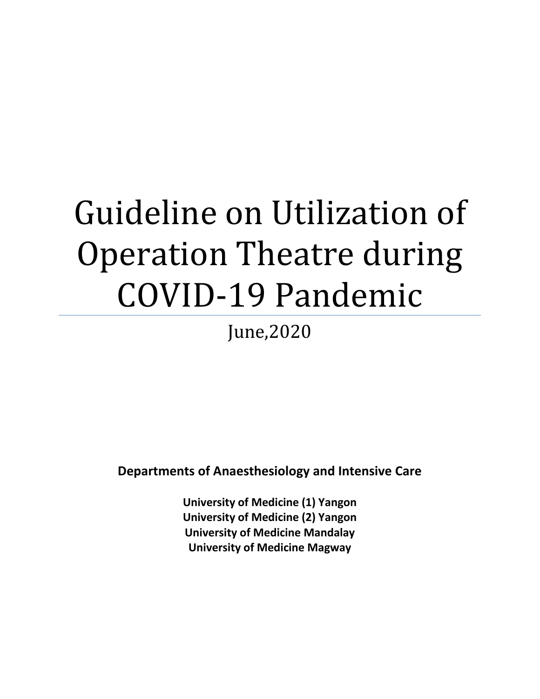# Guideline on Utilization of Operation Theatre during COVID-19 Pandemic

June,2020

**Departments of Anaesthesiology and Intensive Care**

**University of Medicine (1) Yangon University of Medicine (2) Yangon University of Medicine Mandalay University of Medicine Magway**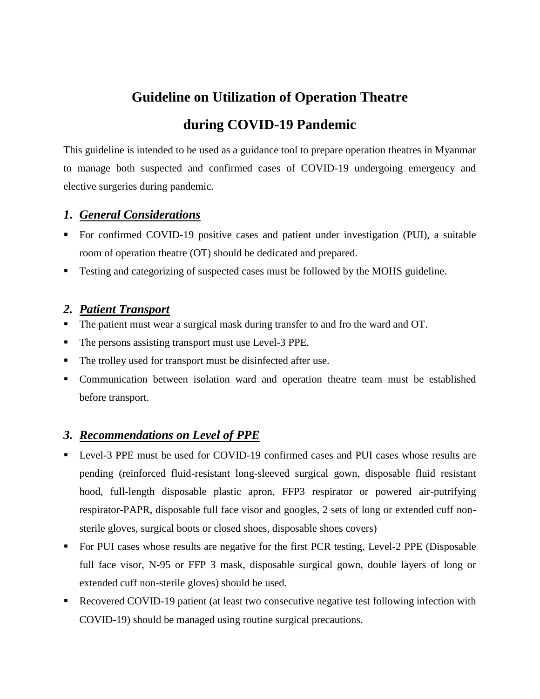# **Guideline on Utilization of Operation Theatre during COVID-19 Pandemic**

This guideline is intended to be used as a guidance tool to prepare operation theatres in Myanmar to manage both suspected and confirmed cases of COVID-19 undergoing emergency and elective surgeries during pandemic.

#### *1. General Considerations*

- For confirmed COVID-19 positive cases and patient under investigation (PUI), a suitable room of operation theatre (OT) should be dedicated and prepared.
- **Testing and categorizing of suspected cases must be followed by the MOHS guideline.**

#### *2. Patient Transport*

- The patient must wear a surgical mask during transfer to and fro the ward and OT.
- The persons assisting transport must use Level-3 PPE.
- The trolley used for transport must be disinfected after use.
- Communication between isolation ward and operation theatre team must be established before transport.

#### *3. Recommendations on Level of PPE*

- Level-3 PPE must be used for COVID-19 confirmed cases and PUI cases whose results are pending (reinforced fluid-resistant long-sleeved surgical gown, disposable fluid resistant hood, full-length disposable plastic apron, FFP3 respirator or powered air-putrifying respirator-PAPR, disposable full face visor and googles, 2 sets of long or extended cuff nonsterile gloves, surgical boots or closed shoes, disposable shoes covers)
- For PUI cases whose results are negative for the first PCR testing, Level-2 PPE (Disposable full face visor, N-95 or FFP 3 mask, disposable surgical gown, double layers of long or extended cuff non-sterile gloves) should be used.
- Recovered COVID-19 patient (at least two consecutive negative test following infection with COVID-19) should be managed using routine surgical precautions.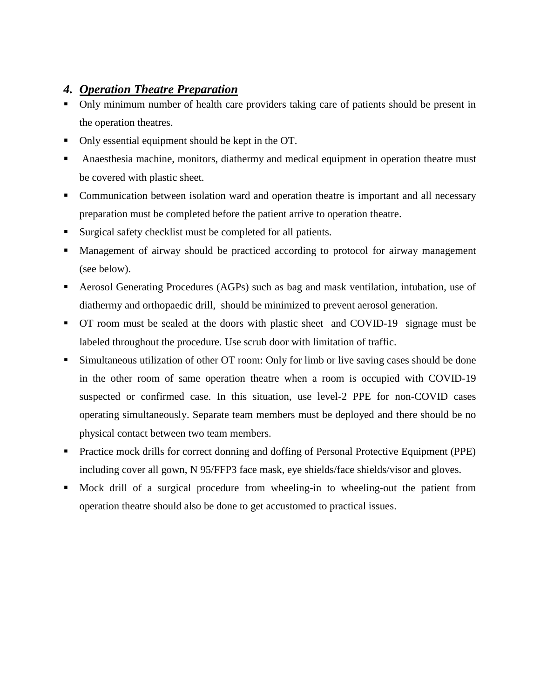### *4. Operation Theatre Preparation*

- Only minimum number of health care providers taking care of patients should be present in the operation theatres.
- Only essential equipment should be kept in the OT.
- Anaesthesia machine, monitors, diathermy and medical equipment in operation theatre must be covered with plastic sheet.
- Communication between isolation ward and operation theatre is important and all necessary preparation must be completed before the patient arrive to operation theatre.
- Surgical safety checklist must be completed for all patients.
- Management of airway should be practiced according to protocol for airway management (see below).
- Aerosol Generating Procedures (AGPs) such as bag and mask ventilation, intubation, use of diathermy and orthopaedic drill, should be minimized to prevent aerosol generation.
- OT room must be sealed at the doors with plastic sheet and COVID-19 signage must be labeled throughout the procedure. Use scrub door with limitation of traffic.
- Simultaneous utilization of other OT room: Only for limb or live saving cases should be done in the other room of same operation theatre when a room is occupied with COVID-19 suspected or confirmed case. In this situation, use level-2 PPE for non-COVID cases operating simultaneously. Separate team members must be deployed and there should be no physical contact between two team members.
- **Practice mock drills for correct donning and doffing of Personal Protective Equipment (PPE)** including cover all gown, N 95/FFP3 face mask, eye shields/face shields/visor and gloves.
- Mock drill of a surgical procedure from wheeling-in to wheeling-out the patient from operation theatre should also be done to get accustomed to practical issues.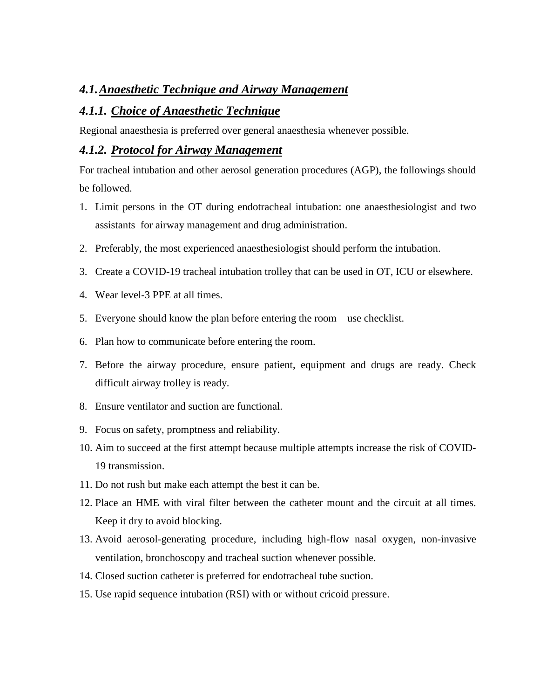#### *4.1.Anaesthetic Technique and Airway Management*

#### *4.1.1. Choice of Anaesthetic Technique*

Regional anaesthesia is preferred over general anaesthesia whenever possible.

#### *4.1.2. Protocol for Airway Management*

For tracheal intubation and other aerosol generation procedures (AGP), the followings should be followed.

- 1. Limit persons in the OT during endotracheal intubation: one anaesthesiologist and two assistants for airway management and drug administration.
- 2. Preferably, the most experienced anaesthesiologist should perform the intubation.
- 3. Create a COVID-19 tracheal intubation trolley that can be used in OT, ICU or elsewhere.
- 4. Wear level-3 PPE at all times.
- 5. Everyone should know the plan before entering the room use checklist.
- 6. Plan how to communicate before entering the room.
- 7. Before the airway procedure, ensure patient, equipment and drugs are ready. Check difficult airway trolley is ready.
- 8. Ensure ventilator and suction are functional.
- 9. Focus on safety, promptness and reliability.
- 10. Aim to succeed at the first attempt because multiple attempts increase the risk of COVID-19 transmission.
- 11. Do not rush but make each attempt the best it can be.
- 12. Place an HME with viral filter between the catheter mount and the circuit at all times. Keep it dry to avoid blocking.
- 13. Avoid aerosol-generating procedure, including high-flow nasal oxygen, non-invasive ventilation, bronchoscopy and tracheal suction whenever possible.
- 14. Closed suction catheter is preferred for endotracheal tube suction.
- 15. Use rapid sequence intubation (RSI) with or without cricoid pressure.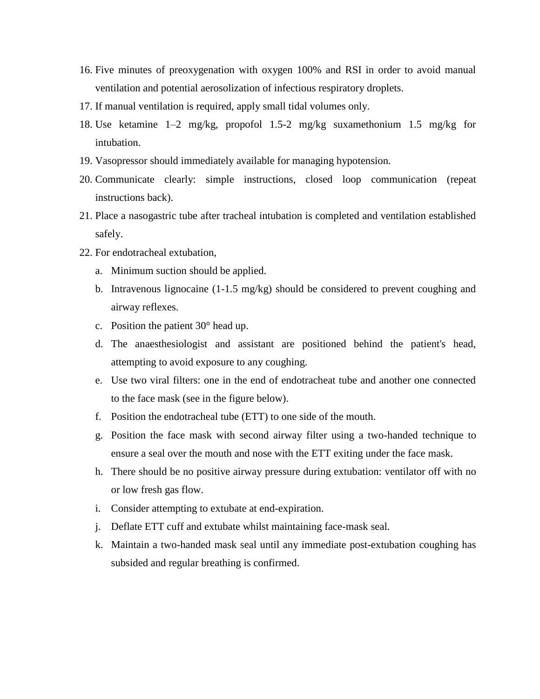- 16. Five minutes of preoxygenation with oxygen 100% and RSI in order to avoid manual ventilation and potential aerosolization of infectious respiratory droplets.
- 17. If manual ventilation is required, apply small tidal volumes only.
- 18. Use ketamine 1–2 mg/kg, propofol 1.5-2 mg/kg suxamethonium 1.5 mg/kg for intubation.
- 19. Vasopressor should immediately available for managing hypotension.
- 20. Communicate clearly: simple instructions, closed loop communication (repeat instructions back).
- 21. Place a nasogastric tube after tracheal intubation is completed and ventilation established safely.
- 22. For endotracheal extubation,
	- a. Minimum suction should be applied.
	- b. Intravenous lignocaine (1-1.5 mg/kg) should be considered to prevent coughing and airway reflexes.
	- c. Position the patient 30° head up.
	- d. The anaesthesiologist and assistant are positioned behind the patient's head, attempting to avoid exposure to any coughing.
	- e. Use two viral filters: one in the end of endotracheat tube and another one connected to the face mask (see in the figure below).
	- f. Position the endotracheal tube (ETT) to one side of the mouth.
	- g. Position the face mask with second airway filter using a two-handed technique to ensure a seal over the mouth and nose with the ETT exiting under the face mask.
	- h. There should be no positive airway pressure during extubation: ventilator off with no or low fresh gas flow.
	- i. Consider attempting to extubate at end-expiration.
	- j. Deflate ETT cuff and extubate whilst maintaining face-mask seal.
	- k. Maintain a two-handed mask seal until any immediate post-extubation coughing has subsided and regular breathing is confirmed.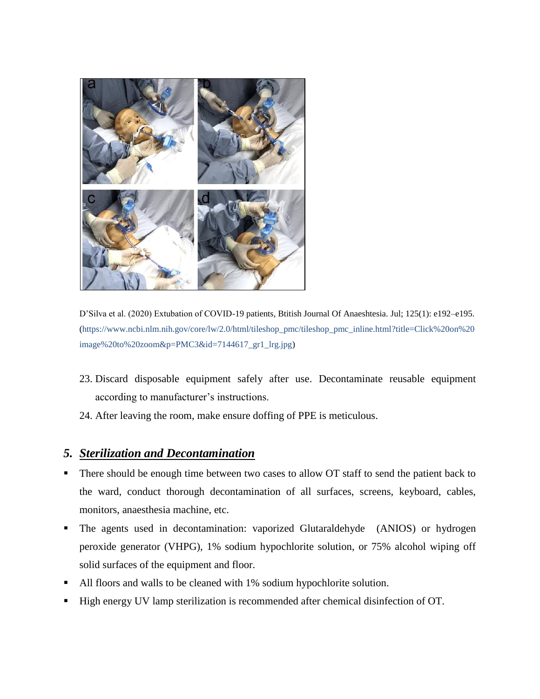

D'Silva et al. (2020) Extubation of COVID-19 patients, Btitish Journal Of Anaeshtesia. Jul; 125(1): e192–e195. (https://www.ncbi.nlm.nih.gov/core/lw/2.0/html/tileshop\_pmc/tileshop\_pmc\_inline.html?title=Click%20on%20 image%20to%20zoom&p=PMC3&id=7144617\_gr1\_lrg.jpg)

- 23. Discard disposable equipment safely after use. Decontaminate reusable equipment according to manufacturer's instructions.
- 24. After leaving the room, make ensure doffing of PPE is meticulous.

#### *5. Sterilization and Decontamination*

- There should be enough time between two cases to allow OT staff to send the patient back to the ward, conduct thorough decontamination of all surfaces, screens, keyboard, cables, monitors, anaesthesia machine, etc.
- The agents used in decontamination: vaporized Glutaraldehyde (ANIOS) or hydrogen peroxide generator (VHPG), 1% sodium hypochlorite solution, or 75% alcohol wiping off solid surfaces of the equipment and floor.
- All floors and walls to be cleaned with 1% sodium hypochlorite solution.
- High energy UV lamp sterilization is recommended after chemical disinfection of OT.